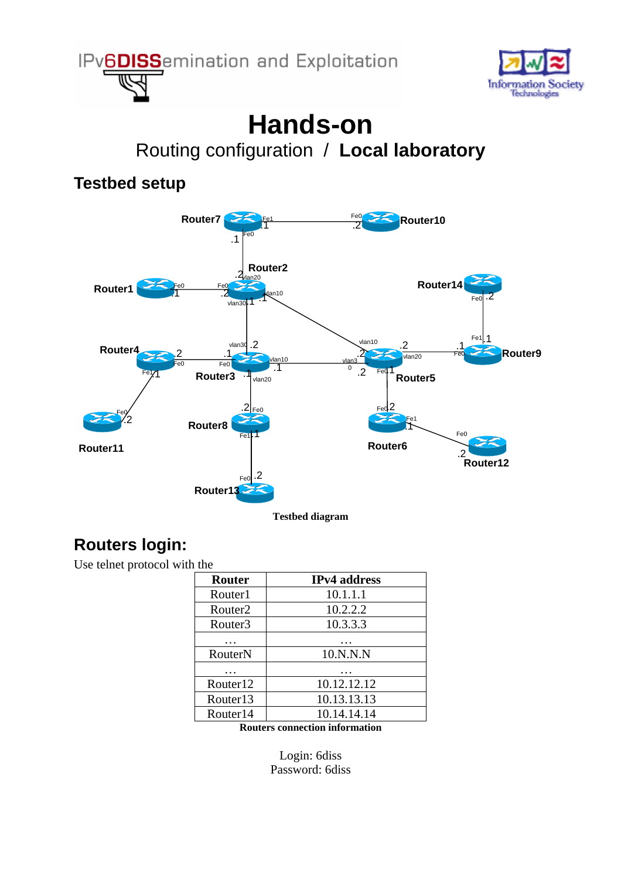



# **Hands-on**  Routing configuration / **Local laboratory**

#### **Testbed setup**



### **Routers login:**

Use telnet protocol with the

| <b>Router</b>        | <b>IPv4</b> address |
|----------------------|---------------------|
| Router1              | 10.1.1.1            |
| Router <sub>2</sub>  | 10.2.2.2            |
| Router3              | 10.3.3.3            |
|                      |                     |
| RouterN              | 10.N.N.N            |
|                      |                     |
| Router12             | 10.12.12.12         |
| Router <sub>13</sub> | 10.13.13.13         |
| Router <sub>14</sub> | 10.14.14.14         |
|                      |                     |

**Routers connection information** 

Login: 6diss Password: 6diss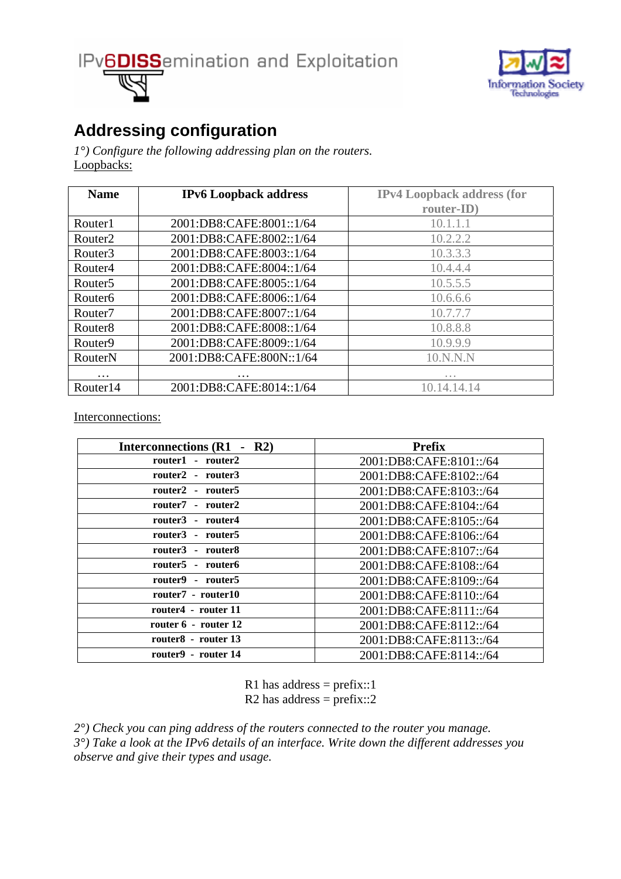



### **Addressing configuration**

*1°) Configure the following addressing plan on the routers.*  Loopbacks:

| <b>Name</b>          | <b>IPv6</b> Loopback address | <b>IPv4 Loopback address (for</b> |
|----------------------|------------------------------|-----------------------------------|
|                      |                              | router-ID)                        |
| Router1              | 2001:DB8:CAFE:8001::1/64     | 10.1.1.1                          |
| Router <sub>2</sub>  | 2001:DB8:CAFE:8002::1/64     | 10.2.2.2                          |
| Router3              | 2001:DB8:CAFE:8003::1/64     | 10.3.3.3                          |
| Router4              | 2001:DB8:CAFE:8004::1/64     | 10.4.4.4                          |
| Router <sub>5</sub>  | 2001:DB8:CAFE:8005::1/64     | 10.5.5.5                          |
| Router <sub>6</sub>  | 2001:DB8:CAFE:8006::1/64     | 10.6.6.6                          |
| Router <sub>7</sub>  | 2001:DB8:CAFE:8007::1/64     | 10.7.7.7                          |
| Router <sub>8</sub>  | 2001:DB8:CAFE:8008::1/64     | 10.8.8.8                          |
| Router <sub>9</sub>  | 2001:DB8:CAFE:8009::1/64     | 10.9.9.9                          |
| RouterN              | 2001:DB8:CAFE:800N::1/64     | 10.N.N.N                          |
| $\cdot$              |                              |                                   |
| Router <sub>14</sub> | 2001:DB8:CAFE:8014::1/64     | 10.14.14.14                       |

Interconnections:

| Interconnections (R1 - R2) | <b>Prefix</b>           |
|----------------------------|-------------------------|
| router1 - router2          | 2001:DB8:CAFE:8101::/64 |
| router2 - router3          | 2001:DB8:CAFE:8102::/64 |
| router2 - router5          | 2001:DB8:CAFE:8103::/64 |
| router7 - router2          | 2001:DB8:CAFE:8104::/64 |
| router3 - router4          | 2001:DB8:CAFE:8105::/64 |
| router3 - router5          | 2001:DB8:CAFE:8106::/64 |
| router3 - router8          | 2001:DB8:CAFE:8107::/64 |
| router5 - router6          | 2001:DB8:CAFE:8108::/64 |
| router9 - router5          | 2001:DB8:CAFE:8109::/64 |
| router7 - router10         | 2001:DB8:CAFE:8110::/64 |
| router4 - router 11        | 2001:DB8:CAFE:8111::/64 |
| router 6 - router 12       | 2001:DB8:CAFE:8112::/64 |
| router8 - router 13        | 2001:DB8:CAFE:8113::/64 |
| router9 - router 14        | 2001:DB8:CAFE:8114::/64 |

R1 has address =  $prefix::1$ R2 has address =  $prefix::2$ 

*2°) Check you can ping address of the routers connected to the router you manage. 3°) Take a look at the IPv6 details of an interface. Write down the different addresses you observe and give their types and usage.*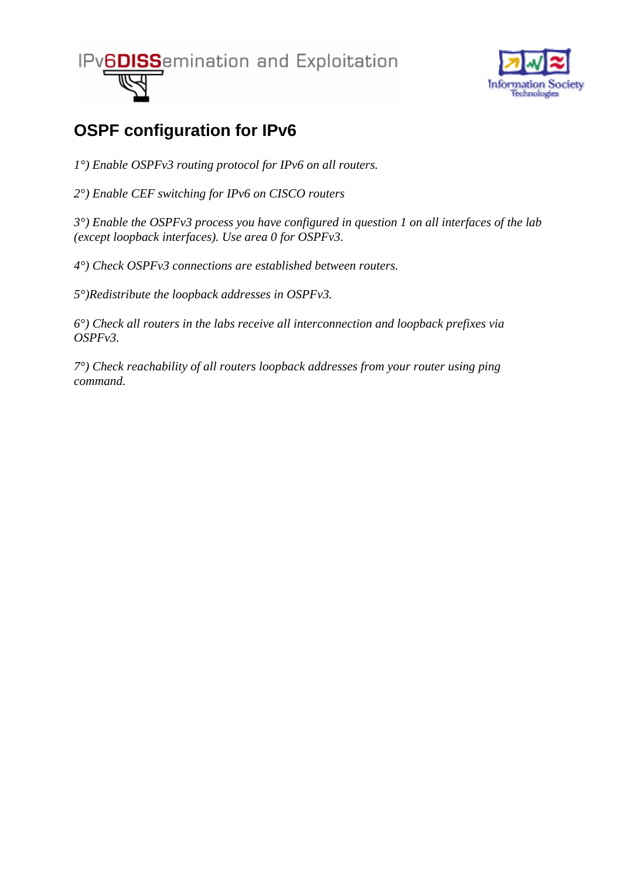

## **OSPF configuration for IPv6**

*1°) Enable OSPFv3 routing protocol for IPv6 on all routers.* 

*2°) Enable CEF switching for IPv6 on CISCO routers* 

*3°) Enable the OSPFv3 process you have configured in question 1 on all interfaces of the lab (except loopback interfaces). Use area 0 for OSPFv3.* 

*4°) Check OSPFv3 connections are established between routers.* 

*5°)Redistribute the loopback addresses in OSPFv3.* 

*6°) Check all routers in the labs receive all interconnection and loopback prefixes via OSPFv3.* 

*7°) Check reachability of all routers loopback addresses from your router using ping command.*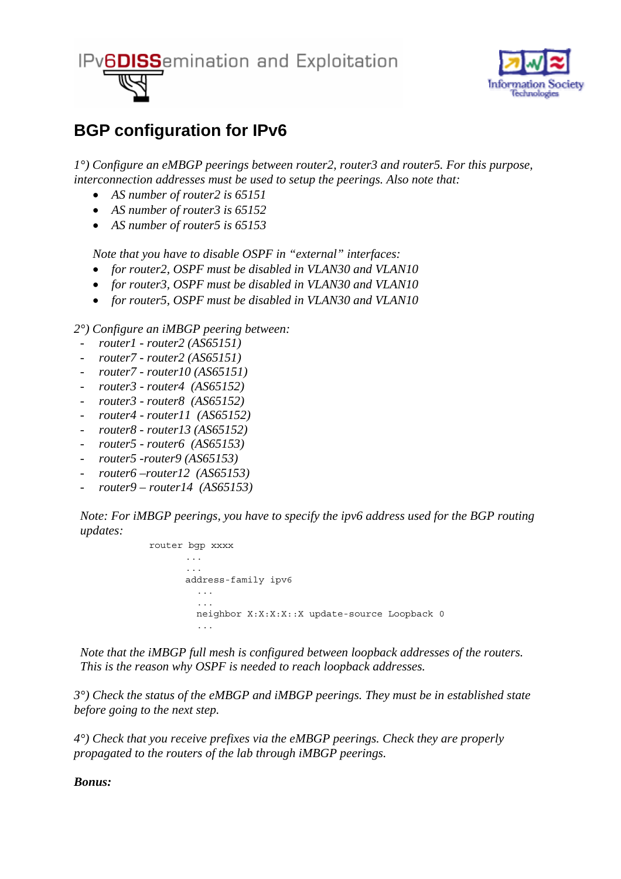

#### **BGP configuration for IPv6**

*1°) Configure an eMBGP peerings between router2, router3 and router5. For this purpose, interconnection addresses must be used to setup the peerings. Also note that:* 

- *AS number of router2 is 65151*
- *AS number of router3 is 65152*
- *AS number of router5 is 65153*

*Note that you have to disable OSPF in "external" interfaces:* 

- *for router2, OSPF must be disabled in VLAN30 and VLAN10*
- *for router3, OSPF must be disabled in VLAN30 and VLAN10*
- *for router5, OSPF must be disabled in VLAN30 and VLAN10*

*2°) Configure an iMBGP peering between:* 

- *router1 router2 (AS65151)*
- *router7 router2 (AS65151)*
- *router7 router10 (AS65151)*
- *router3 router4 (AS65152)*
- *router3 router8 (AS65152)*
- *router4 router11 (AS65152)*
- *router8 router13 (AS65152)*
- *router5 router6 (AS65153)*
- *router5 -router9 (AS65153)*
- *router6 –router12 (AS65153)*
- *router9 router14 (AS65153)*

*Note: For iMBGP peerings, you have to specify the ipv6 address used for the BGP routing updates:* 

> router bgp xxxx ... address-family ipv6 ... ... neighbor X:X:X:X::X update-source Loopback 0 . . . . . .

*Note that the iMBGP full mesh is configured between loopback addresses of the routers. This is the reason why OSPF is needed to reach loopback addresses.* 

*3°) Check the status of the eMBGP and iMBGP peerings. They must be in established state before going to the next step.* 

*4°) Check that you receive prefixes via the eMBGP peerings. Check they are properly propagated to the routers of the lab through iMBGP peerings.* 

*Bonus:*